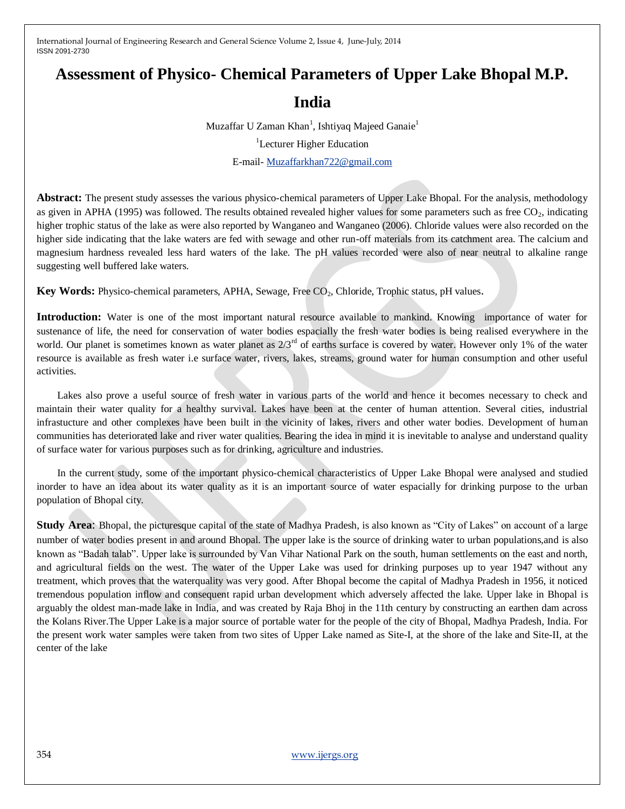# **Assessment of Physico- Chemical Parameters of Upper Lake Bhopal M.P.**

# **India**

Muzaffar U Zaman Khan<sup>1</sup>, Ishtiyaq Majeed Ganaie<sup>1</sup> <sup>1</sup>Lecturer Higher Education E-mail- [Muzaffarkhan722@gmail.com](mailto:Muzaffarkhan722@gmail.com)

**Abstract:** The present study assesses the various physico-chemical parameters of Upper Lake Bhopal. For the analysis, methodology as given in APHA (1995) was followed. The results obtained revealed higher values for some parameters such as free  $CO<sub>2</sub>$ , indicating higher trophic status of the lake as were also reported by Wanganeo and Wanganeo (2006). Chloride values were also recorded on the higher side indicating that the lake waters are fed with sewage and other run-off materials from its catchment area. The calcium and magnesium hardness revealed less hard waters of the lake. The pH values recorded were also of near neutral to alkaline range suggesting well buffered lake waters.

Key Words: Physico-chemical parameters, APHA, Sewage, Free CO<sub>2</sub>, Chloride, Trophic status, pH values.

**Introduction:** Water is one of the most important natural resource available to mankind. Knowing importance of water for sustenance of life, the need for conservation of water bodies espacially the fresh water bodies is being realised everywhere in the world. Our planet is sometimes known as water planet as  $2/3<sup>rd</sup>$  of earths surface is covered by water. However only 1% of the water resource is available as fresh water i.e surface water, rivers, lakes, streams, ground water for human consumption and other useful activities.

 Lakes also prove a useful source of fresh water in various parts of the world and hence it becomes necessary to check and maintain their water quality for a healthy survival. Lakes have been at the center of human attention. Several cities, industrial infrastucture and other complexes have been built in the vicinity of lakes, rivers and other water bodies. Development of human communities has deteriorated lake and river water qualities. Bearing the idea in mind it is inevitable to analyse and understand quality of surface water for various purposes such as for drinking, agriculture and industries.

 In the current study, some of the important physico-chemical characteristics of Upper Lake Bhopal were analysed and studied inorder to have an idea about its water quality as it is an important source of water espacially for drinking purpose to the urban population of Bhopal city.

**Study Area:** Bhopal, the picturesque capital of the state of Madhya Pradesh, is also known as "City of Lakes" on account of a large number of water bodies present in and around Bhopal. The upper lake is the source of drinking water to urban populations,and is also known as "Badah talab". Upper lake is surrounded by Van Vihar National Park on the south, human settlements on the east and north, and agricultural fields on the west. The water of the Upper Lake was used for drinking purposes up to year 1947 without any treatment, which proves that the waterquality was very good. After Bhopal become the capital of Madhya Pradesh in 1956, it noticed tremendous population inflow and consequent rapid urban development which adversely affected the lake. Upper lake in Bhopal is arguably the oldest man-made lake in India, and was created by Raja Bhoj in the 11th century by constructing an earthen dam across the Kolans River.The Upper Lake is a major source of portable water for the people of the city of Bhopal, Madhya Pradesh, India. For the present work water samples were taken from two sites of Upper Lake named as Site-I, at the shore of the lake and Site-II, at the center of the lake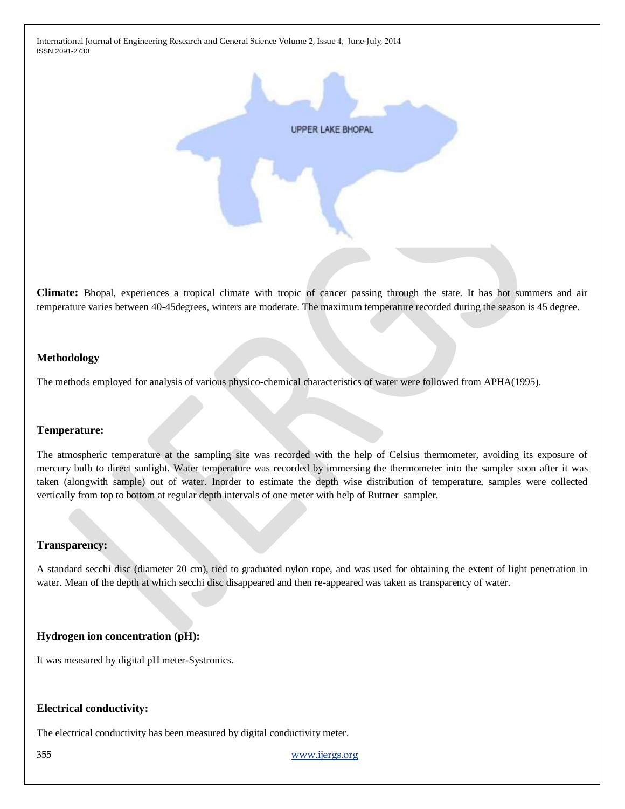

**Climate:** Bhopal, experiences a tropical climate with tropic of cancer passing through the state. It has hot summers and air temperature varies between 40-45degrees, winters are moderate. The maximum temperature recorded during the season is 45 degree.

## **Methodology**

The methods employed for analysis of various physico-chemical characteristics of water were followed from APHA(1995).

#### **Temperature:**

The atmospheric temperature at the sampling site was recorded with the help of Celsius thermometer, avoiding its exposure of mercury bulb to direct sunlight. Water temperature was recorded by immersing the thermometer into the sampler soon after it was taken (alongwith sample) out of water. Inorder to estimate the depth wise distribution of temperature, samples were collected vertically from top to bottom at regular depth intervals of one meter with help of Ruttner sampler.

#### **Transparency:**

A standard secchi disc (diameter 20 cm), tied to graduated nylon rope, and was used for obtaining the extent of light penetration in water. Mean of the depth at which secchi disc disappeared and then re-appeared was taken as transparency of water.

#### **Hydrogen ion concentration (pH):**

It was measured by digital pH meter-Systronics.

### **Electrical conductivity:**

The electrical conductivity has been measured by digital conductivity meter.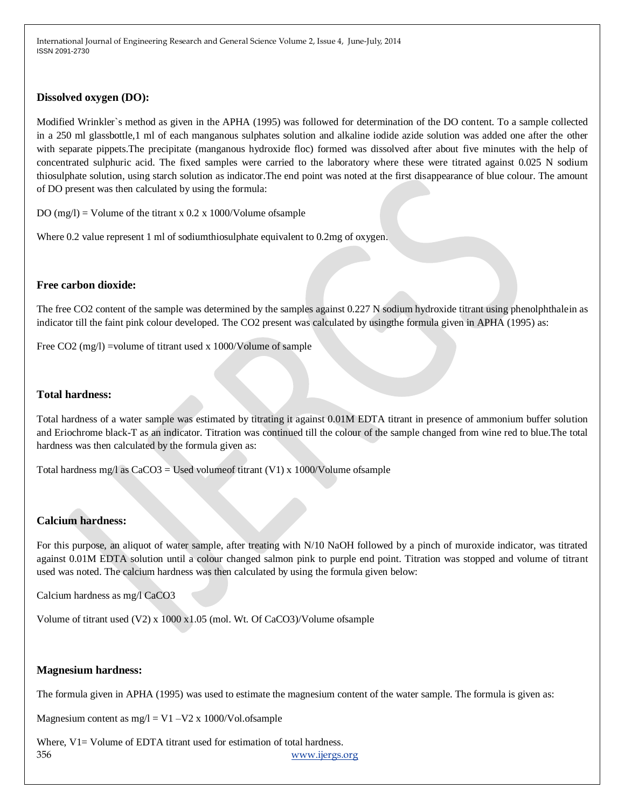## **Dissolved oxygen (DO):**

Modified Wrinkler`s method as given in the APHA (1995) was followed for determination of the DO content. To a sample collected in a 250 ml glassbottle,1 ml of each manganous sulphates solution and alkaline iodide azide solution was added one after the other with separate pippets.The precipitate (manganous hydroxide floc) formed was dissolved after about five minutes with the help of concentrated sulphuric acid. The fixed samples were carried to the laboratory where these were titrated against 0.025 N sodium thiosulphate solution, using starch solution as indicator.The end point was noted at the first disappearance of blue colour. The amount of DO present was then calculated by using the formula:

DO  $(mg/l)$  = Volume of the titrant x 0.2 x 1000/Volume of sample

Where 0.2 value represent 1 ml of sodiumthiosulphate equivalent to 0.2mg of oxygen.

## **Free carbon dioxide:**

The free CO2 content of the sample was determined by the samples against 0.227 N sodium hydroxide titrant using phenolphthalein as indicator till the faint pink colour developed. The CO2 present was calculated by usingthe formula given in APHA (1995) as:

Free CO2 (mg/l) =volume of titrant used x 1000/Volume of sample

# **Total hardness:**

Total hardness of a water sample was estimated by titrating it against 0.01M EDTA titrant in presence of ammonium buffer solution and Eriochrome black-T as an indicator. Titration was continued till the colour of the sample changed from wine red to blue.The total hardness was then calculated by the formula given as:

Total hardness mg/l as  $CaCO3 = U$ sed volume of titrant (V1) x 1000/Volume of sample

#### **Calcium hardness:**

For this purpose, an aliquot of water sample, after treating with N/10 NaOH followed by a pinch of muroxide indicator, was titrated against 0.01M EDTA solution until a colour changed salmon pink to purple end point. Titration was stopped and volume of titrant used was noted. The calcium hardness was then calculated by using the formula given below:

Calcium hardness as mg/l CaCO3

Volume of titrant used (V2) x 1000 x1.05 (mol. Wt. Of CaCO3)/Volume ofsample

#### **Magnesium hardness:**

The formula given in APHA (1995) was used to estimate the magnesium content of the water sample. The formula is given as:

Magnesium content as  $mg/l = V1 - V2 x 1000/Vol.$ ofsample

356 [www.ijergs.org](http://www.ijergs.org/) Where, V1= Volume of EDTA titrant used for estimation of total hardness.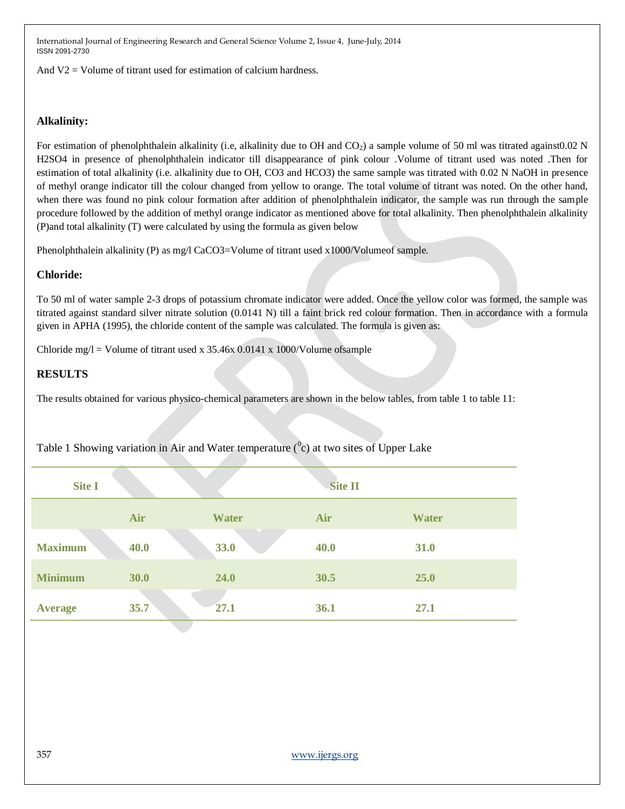And  $V2 =$  Volume of titrant used for estimation of calcium hardness.

# **Alkalinity:**

For estimation of phenolphthalein alkalinity (i.e, alkalinity due to OH and  $CO<sub>2</sub>$ ) a sample volume of 50 ml was titrated against0.02 N H2SO4 in presence of phenolphthalein indicator till disappearance of pink colour .Volume of titrant used was noted .Then for estimation of total alkalinity (i.e. alkalinity due to OH, CO3 and HCO3) the same sample was titrated with 0.02 N NaOH in presence of methyl orange indicator till the colour changed from yellow to orange. The total volume of titrant was noted. On the other hand, when there was found no pink colour formation after addition of phenolphthalein indicator, the sample was run through the sample procedure followed by the addition of methyl orange indicator as mentioned above for total alkalinity. Then phenolphthalein alkalinity (P)and total alkalinity (T) were calculated by using the formula as given below

Phenolphthalein alkalinity (P) as mg/l CaCO3=Volume of titrant used x1000/Volume of sample.

# **Chloride:**

To 50 ml of water sample 2-3 drops of potassium chromate indicator were added. Once the yellow color was formed, the sample was titrated against standard silver nitrate solution (0.0141 N) till a faint brick red colour formation. Then in accordance with a formula given in APHA (1995), the chloride content of the sample was calculated. The formula is given as:

Chloride mg/l = Volume of titrant used x  $35.46x$  0.0141 x 1000/Volume of sample

# **RESULTS**

The results obtained for various physico-chemical parameters are shown in the below tables, from table 1 to table 11:

| <b>Site I</b>  |      |              | <b>Site II</b> |              |
|----------------|------|--------------|----------------|--------------|
|                | Air  | <b>Water</b> | Air            | <b>Water</b> |
| <b>Maximum</b> | 40.0 | 33.0         | 40.0           | 31.0         |
| <b>Minimum</b> | 30.0 | 24.0         | 30.5           | 25.0         |
| <b>Average</b> | 35.7 | 27.1         | 36.1           | 27.1         |

Table 1 Showing variation in Air and Water temperature  $(^0c)$  at two sites of Upper Lake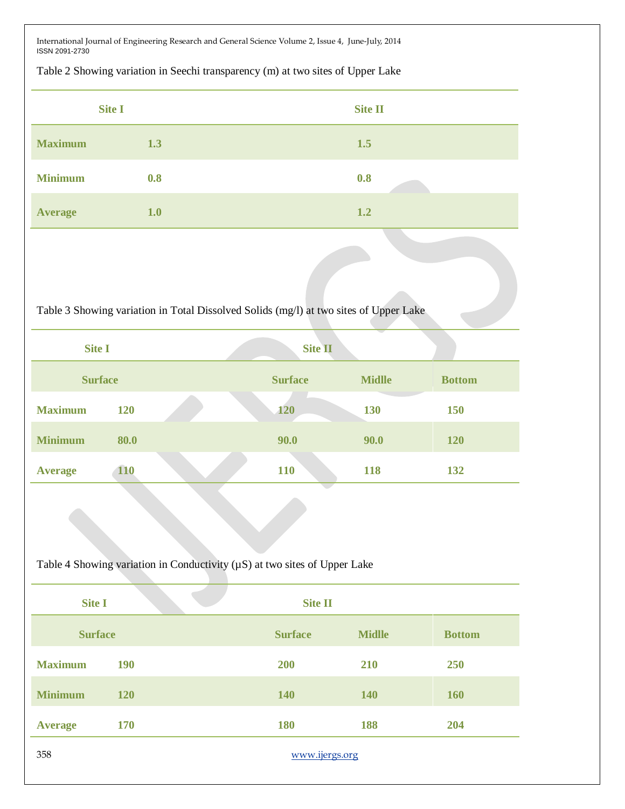Table 2 Showing variation in Seechi transparency (m) at two sites of Upper Lake

|                | <b>Site I</b> | Site II |
|----------------|---------------|---------|
| <b>Maximum</b> | 1.3           | 1.5     |
| <b>Minimum</b> | 0.8           | 0.8     |
| <b>Average</b> | 1.0           | 1.2     |

Table 3 Showing variation in Total Dissolved Solids (mg/l) at two sites of Upper Lake

| <b>Site I</b>  |            | <b>Site II</b> |               |               |
|----------------|------------|----------------|---------------|---------------|
| <b>Surface</b> |            | <b>Surface</b> | <b>Midlle</b> | <b>Bottom</b> |
| <b>Maximum</b> | 120        | <b>120</b>     | 130           | 150           |
| <b>Minimum</b> | 80.0       | 90.0           | 90.0          | <b>120</b>    |
| <b>Average</b> | <b>110</b> | 110            | 118           | 132           |

Table 4 Showing variation in Conductivity (µS) at two sites of Upper Lake

| <b>Site I</b>  |                | <b>Site II</b> |               |               |  |
|----------------|----------------|----------------|---------------|---------------|--|
| <b>Surface</b> |                | <b>Surface</b> | <b>Midlle</b> | <b>Bottom</b> |  |
| <b>Maximum</b> | <b>190</b>     | 200            | 210           | 250           |  |
| <b>Minimum</b> | <b>120</b>     | 140            | 140           | 160           |  |
| <b>Average</b> | <b>170</b>     | 180            | 188           | 204           |  |
| 358            | www.ijergs.org |                |               |               |  |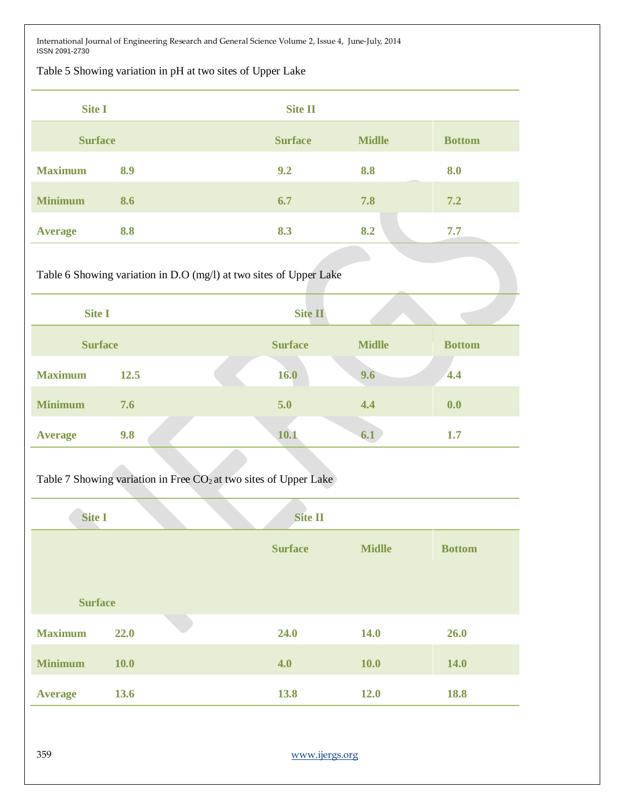Table 5 Showing variation in pH at two sites of Upper Lake

| <b>Site I</b>  |     | <b>Site II</b> |               |               |
|----------------|-----|----------------|---------------|---------------|
| <b>Surface</b> |     | <b>Surface</b> | <b>Midlle</b> | <b>Bottom</b> |
| <b>Maximum</b> | 8.9 | 9.2            | 8.8           | 8.0           |
| <b>Minimum</b> | 8.6 | 6.7            | 7.8           | 7.2           |
| <b>Average</b> | 8.8 | 8.3            | 8.2           | 7.7           |

Table 6 Showing variation in D.O (mg/l) at two sites of Upper Lake

| <b>Site I</b>  |      |                          | <b>Site II</b> |               |               |  |
|----------------|------|--------------------------|----------------|---------------|---------------|--|
| <b>Surface</b> |      |                          | <b>Surface</b> | <b>Midlle</b> | <b>Bottom</b> |  |
| <b>Maximum</b> | 12.5 |                          | 16.0           | 9.6           | 4.4           |  |
| <b>Minimum</b> | 7.6  |                          | 5.0            | 4.4           | 0.0           |  |
| <b>Average</b> | 9.8  | <b>Contract Contract</b> | 10.1           | 6.1           | 1.7           |  |

Table 7 Showing variation in Free  $CO<sub>2</sub>$  at two sites of Upper Lake

| <b>Site I</b>  |             | <b>Site II</b> |               |               |
|----------------|-------------|----------------|---------------|---------------|
|                |             | <b>Surface</b> | <b>Midlle</b> | <b>Bottom</b> |
|                |             |                |               |               |
| <b>Surface</b> |             |                |               |               |
| <b>Maximum</b> | 22.0        | 24.0           | <b>14.0</b>   | 26.0          |
| <b>Minimum</b> | <b>10.0</b> | 4.0            | <b>10.0</b>   | <b>14.0</b>   |
| <b>Average</b> | 13.6        | 13.8           | 12.0          | 18.8          |
|                |             |                |               |               |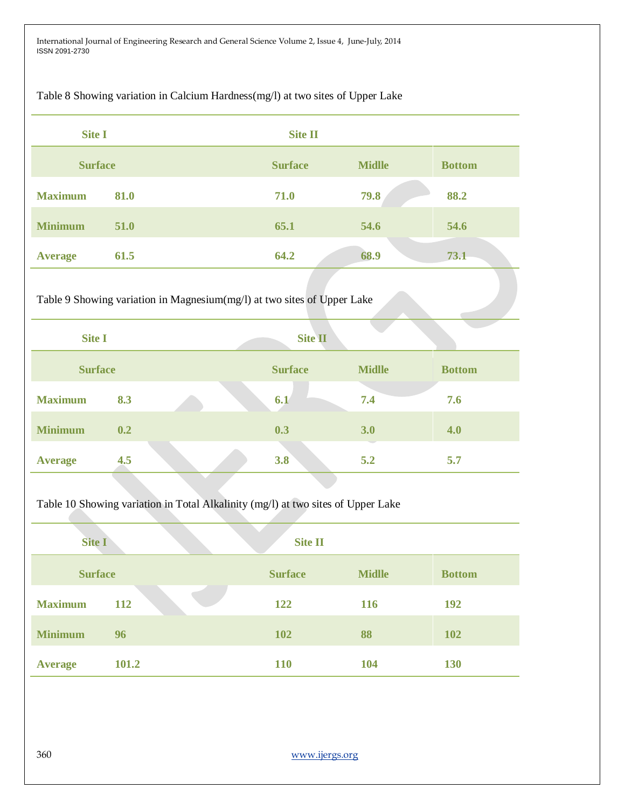Table 8 Showing variation in Calcium Hardness(mg/l) at two sites of Upper Lake

| <b>Site I</b>  |       |                                                                                  | <b>Site II</b> |               |               |
|----------------|-------|----------------------------------------------------------------------------------|----------------|---------------|---------------|
| <b>Surface</b> |       |                                                                                  | <b>Surface</b> | <b>Midlle</b> | <b>Bottom</b> |
| <b>Maximum</b> | 81.0  |                                                                                  | 71.0           | 79.8          | 88.2          |
| <b>Minimum</b> | 51.0  |                                                                                  | 65.1           | 54.6          | 54.6          |
| <b>Average</b> | 61.5  |                                                                                  | 64.2           | 68.9          | 73.1          |
|                |       | Table 9 Showing variation in Magnesium(mg/l) at two sites of Upper Lake          |                |               |               |
| <b>Site I</b>  |       |                                                                                  | <b>Site II</b> |               |               |
| <b>Surface</b> |       |                                                                                  | <b>Surface</b> | <b>Midlle</b> | <b>Bottom</b> |
| <b>Maximum</b> | 8.3   |                                                                                  | 6.1            | 7.4           | 7.6           |
| <b>Minimum</b> | 0.2   |                                                                                  | 0.3            | 3.0           | 4.0           |
| <b>Average</b> | 4.5   |                                                                                  | 3.8            | $5.2$         | 5.7           |
|                |       | Table 10 Showing variation in Total Alkalinity (mg/l) at two sites of Upper Lake |                |               |               |
| <b>Site I</b>  |       |                                                                                  | <b>Site II</b> |               |               |
| <b>Surface</b> |       |                                                                                  | <b>Surface</b> | <b>Midlle</b> | <b>Bottom</b> |
| <b>Maximum</b> | 112   |                                                                                  | 122            | 116           | 192           |
| <b>Minimum</b> | 96    |                                                                                  | 102            | 88            | 102           |
| <b>Average</b> | 101.2 |                                                                                  | 110            | 104           | 130           |
|                |       |                                                                                  |                |               |               |
|                |       |                                                                                  |                |               |               |
| 360            |       |                                                                                  | www.ijergs.org |               |               |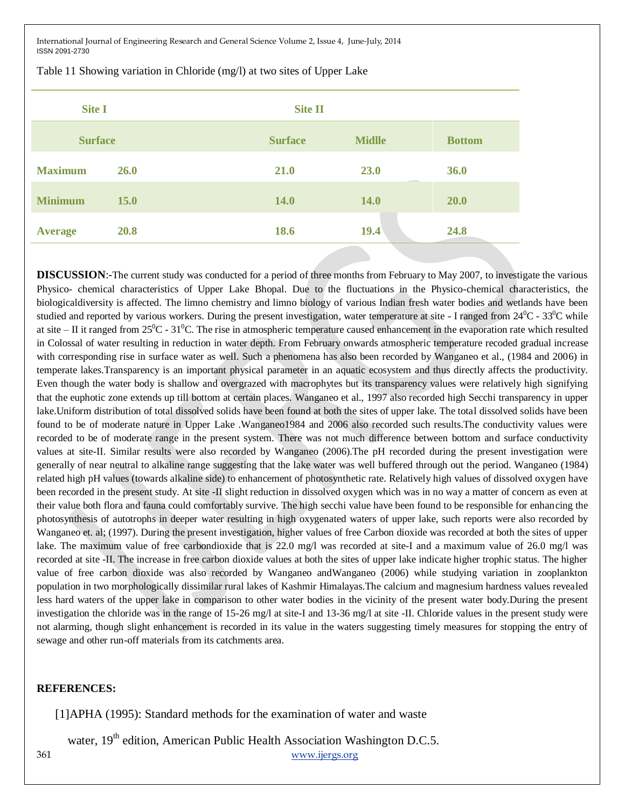| <b>Site I</b>  |             | <b>Site II</b> |               |               |  |
|----------------|-------------|----------------|---------------|---------------|--|
| <b>Surface</b> |             | <b>Surface</b> | <b>Midlle</b> | <b>Bottom</b> |  |
| <b>Maximum</b> | <b>26.0</b> | 21.0           | 23.0          | 36.0          |  |
| <b>Minimum</b> | <b>15.0</b> | <b>14.0</b>    | <b>14.0</b>   | 20.0          |  |
| <b>Average</b> | 20.8        | 18.6           | 19.4          | 24.8          |  |

Table 11 Showing variation in Chloride (mg/l) at two sites of Upper Lake

**DISCUSSION:**-The current study was conducted for a period of three months from February to May 2007, to investigate the various Physico- chemical characteristics of Upper Lake Bhopal. Due to the fluctuations in the Physico-chemical characteristics, the biologicaldiversity is affected. The limno chemistry and limno biology of various Indian fresh water bodies and wetlands have been studied and reported by various workers. During the present investigation, water temperature at site - I ranged from  $24^{\circ}$ C -  $33^{\circ}$ C while at site – II it ranged from  $25^{\circ}$ C -  $31^{\circ}$ C. The rise in atmospheric temperature caused enhancement in the evaporation rate which resulted in Colossal of water resulting in reduction in water depth. From February onwards atmospheric temperature recoded gradual increase with corresponding rise in surface water as well. Such a phenomena has also been recorded by Wanganeo et al., (1984 and 2006) in temperate lakes.Transparency is an important physical parameter in an aquatic ecosystem and thus directly affects the productivity. Even though the water body is shallow and overgrazed with macrophytes but its transparency values were relatively high signifying that the euphotic zone extends up till bottom at certain places. Wanganeo et al., 1997 also recorded high Secchi transparency in upper lake.Uniform distribution of total dissolved solids have been found at both the sites of upper lake. The total dissolved solids have been found to be of moderate nature in Upper Lake .Wanganeo1984 and 2006 also recorded such results.The conductivity values were recorded to be of moderate range in the present system. There was not much difference between bottom and surface conductivity values at site-II. Similar results were also recorded by Wanganeo (2006).The pH recorded during the present investigation were generally of near neutral to alkaline range suggesting that the lake water was well buffered through out the period. Wanganeo (1984) related high pH values (towards alkaline side) to enhancement of photosynthetic rate. Relatively high values of dissolved oxygen have been recorded in the present study. At site -II slight reduction in dissolved oxygen which was in no way a matter of concern as even at their value both flora and fauna could comfortably survive. The high secchi value have been found to be responsible for enhancing the photosynthesis of autotrophs in deeper water resulting in high oxygenated waters of upper lake, such reports were also recorded by Wanganeo et. al; (1997). During the present investigation, higher values of free Carbon dioxide was recorded at both the sites of upper lake. The maximum value of free carbondioxide that is 22.0 mg/l was recorded at site-I and a maximum value of 26.0 mg/l was recorded at site -II. The increase in free carbon dioxide values at both the sites of upper lake indicate higher trophic status. The higher value of free carbon dioxide was also recorded by Wanganeo andWanganeo (2006) while studying variation in zooplankton population in two morphologically dissimilar rural lakes of Kashmir Himalayas.The calcium and magnesium hardness values revealed less hard waters of the upper lake in comparison to other water bodies in the vicinity of the present water body.During the present investigation the chloride was in the range of 15-26 mg/l at site-I and 13-36 mg/l at site -II. Chloride values in the present study were not alarming, though slight enhancement is recorded in its value in the waters suggesting timely measures for stopping the entry of sewage and other run-off materials from its catchments area.

#### **REFERENCES:**

[1]APHA (1995): Standard methods for the examination of water and waste

water,  $19<sup>th</sup>$  edition, American Public Health Association Washington D.C.5.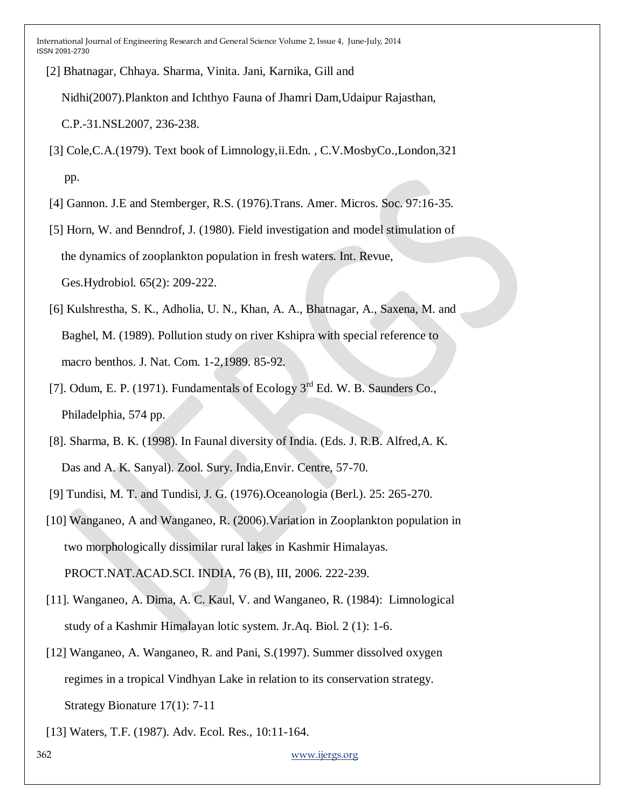[2] Bhatnagar, Chhaya. Sharma, Vinita. Jani, Karnika, Gill and

Nidhi(2007).Plankton and Ichthyo Fauna of Jhamri Dam,Udaipur Rajasthan,

C.P.-31.NSL2007, 236-238.

- [3] Cole,C.A.(1979). Text book of Limnology,ii.Edn. , C.V.MosbyCo.,London,321 pp.
- [4] Gannon. J.E and Stemberger, R.S. (1976).Trans. Amer. Micros. Soc. 97:16-35.

 [5] Horn, W. and Benndrof, J. (1980). Field investigation and model stimulation of the dynamics of zooplankton population in fresh waters. Int. Revue, Ges.Hydrobiol. 65(2): 209-222.

- [6] Kulshrestha, S. K., Adholia, U. N., Khan, A. A., Bhatnagar, A., Saxena, M. and Baghel, M. (1989). Pollution study on river Kshipra with special reference to macro benthos. J. Nat. Com. 1-2,1989. 85-92.
- [7]. Odum, E. P. (1971). Fundamentals of Ecology  $3^{rd}$  Ed. W. B. Saunders Co., Philadelphia, 574 pp.
- [8]. Sharma, B. K. (1998). In Faunal diversity of India. (Eds. J. R.B. Alfred,A. K. Das and A. K. Sanyal). Zool. Sury. India,Envir. Centre, 57-70.
- [9] Tundisi, M. T. and Tundisi, J. G. (1976).Oceanologia (Berl.). 25: 265-270.
- [10] Wanganeo, A and Wanganeo, R. (2006).Variation in Zooplankton population in two morphologically dissimilar rural lakes in Kashmir Himalayas. PROCT.NAT.ACAD.SCI. INDIA, 76 (B), III, 2006. 222-239.
- [11]. Wanganeo, A. Dima, A. C. Kaul, V. and Wanganeo, R. (1984): Limnological study of a Kashmir Himalayan lotic system. Jr.Aq. Biol. 2 (1): 1-6.
- [12] Wanganeo, A. Wanganeo, R. and Pani, S.(1997). Summer dissolved oxygen regimes in a tropical Vindhyan Lake in relation to its conservation strategy. Strategy Bionature 17(1): 7-11
- [13] Waters, T.F. (1987). Adv. Ecol. Res., 10:11-164.